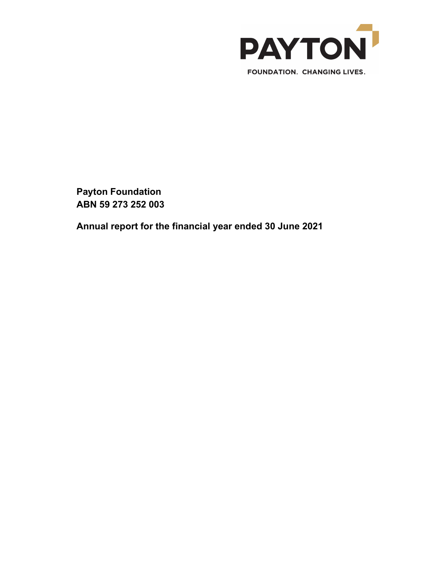

Annual report for the financial year ended 30 June 2021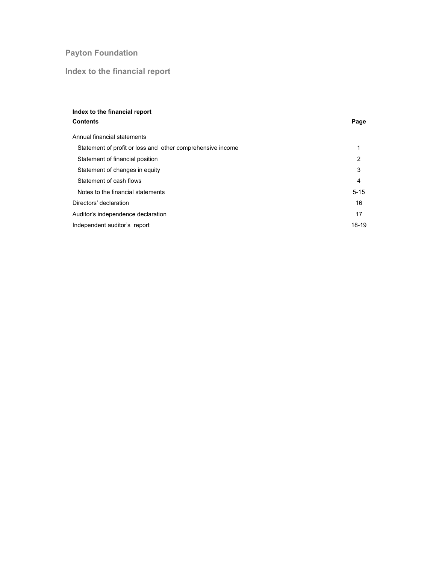Index to the financial report

### Index to the financial report Contents Page

| I<br>. .<br>۰.<br>v<br>v<br>×<br>۰. |
|-------------------------------------|
|-------------------------------------|

| Annual financial statements                                |                |
|------------------------------------------------------------|----------------|
| Statement of profit or loss and other comprehensive income |                |
| Statement of financial position                            | 2              |
| Statement of changes in equity                             | 3              |
| Statement of cash flows                                    | $\overline{4}$ |
| Notes to the financial statements                          | $5 - 15$       |
| Directors' declaration                                     | 16             |
| Auditor's independence declaration                         | 17             |
| Independent auditor's report                               | 18-19          |
|                                                            |                |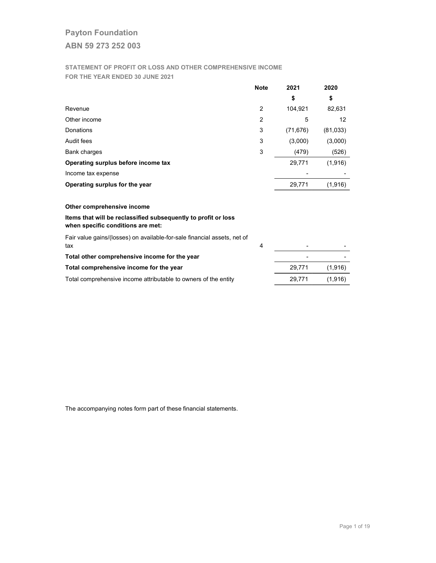### ABN 59 273 252 003

### STATEMENT OF PROFIT OR LOSS AND OTHER COMPREHENSIVE INCOME FOR THE YEAR ENDED 30 JUNE 2021

|                                     | <b>Note</b> | 2021      | 2020      |
|-------------------------------------|-------------|-----------|-----------|
|                                     |             | \$        | \$        |
| Revenue                             | 2           | 104,921   | 82,631    |
| Other income                        | 2           | 5         | 12        |
| Donations                           | 3           | (71, 676) | (81, 033) |
| Audit fees                          | 3           | (3,000)   | (3,000)   |
| Bank charges                        | 3           | (479)     | (526)     |
| Operating surplus before income tax |             | 29,771    | (1,916)   |
| Income tax expense                  |             |           |           |
| Operating surplus for the year      |             | 29,771    | (1,916)   |

### Other comprehensive income

### Items that will be reclassified subsequently to profit or loss when specific conditions are met:

| Fair value gains/(losses) on available-for-sale financial assets, net of |  |        |         |
|--------------------------------------------------------------------------|--|--------|---------|
| tax                                                                      |  | -      |         |
| Total other comprehensive income for the year                            |  |        |         |
| Total comprehensive income for the year                                  |  | 29.771 | (1.916) |
| Total comprehensive income attributable to owners of the entity          |  | 29.771 | (1.916) |

The accompanying notes form part of these financial statements.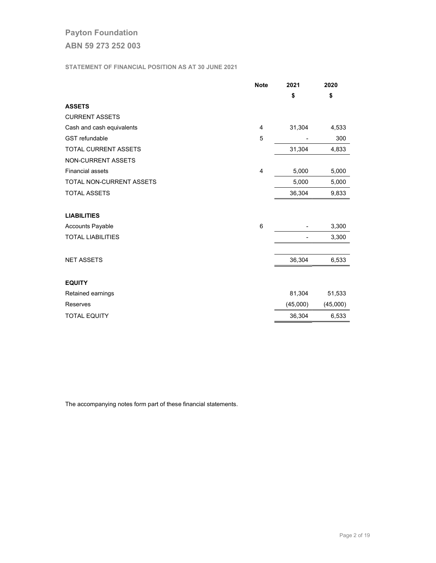### STATEMENT OF FINANCIAL POSITION AS AT 30 JUNE 2021

|                             | <b>Note</b>    | 2021     | 2020     |
|-----------------------------|----------------|----------|----------|
|                             |                | \$       | \$       |
| <b>ASSETS</b>               |                |          |          |
| <b>CURRENT ASSETS</b>       |                |          |          |
| Cash and cash equivalents   | 4              | 31,304   | 4,533    |
| <b>GST</b> refundable       | 5              |          | 300      |
| <b>TOTAL CURRENT ASSETS</b> |                | 31,304   | 4,833    |
| NON-CURRENT ASSETS          |                |          |          |
| <b>Financial assets</b>     | $\overline{4}$ | 5,000    | 5,000    |
| TOTAL NON-CURRENT ASSETS    |                | 5,000    | 5,000    |
| <b>TOTAL ASSETS</b>         |                | 36,304   | 9,833    |
|                             |                |          |          |
| <b>LIABILITIES</b>          |                |          |          |
| <b>Accounts Payable</b>     | 6              |          | 3,300    |
| <b>TOTAL LIABILITIES</b>    |                |          | 3,300    |
| <b>NET ASSETS</b>           |                | 36,304   | 6,533    |
|                             |                |          |          |
| <b>EQUITY</b>               |                |          |          |
| Retained earnings           |                | 81,304   | 51,533   |
| Reserves                    |                | (45,000) | (45,000) |
| <b>TOTAL EQUITY</b>         |                | 36,304   | 6,533    |

The accompanying notes form part of these financial statements.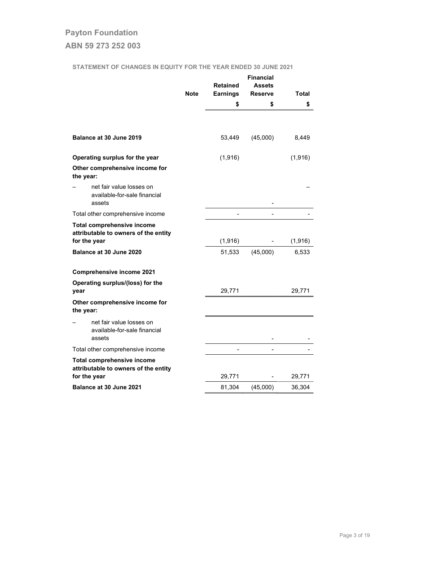### STATEMENT OF CHANGES IN EQUITY FOR THE YEAR ENDED 30 JUNE 2021

|           |                                                                           | <b>Note</b> | <b>Retained</b><br><b>Earnings</b> | <b>Financial</b><br><b>Assets</b><br><b>Reserve</b> | Total   |
|-----------|---------------------------------------------------------------------------|-------------|------------------------------------|-----------------------------------------------------|---------|
|           |                                                                           |             | \$                                 | \$                                                  | \$      |
|           |                                                                           |             |                                    |                                                     |         |
|           | Balance at 30 June 2019                                                   |             | 53,449                             | (45,000)                                            | 8,449   |
|           | Operating surplus for the year                                            |             | (1,916)                            |                                                     | (1,916) |
| the year: | Other comprehensive income for                                            |             |                                    |                                                     |         |
|           | net fair value losses on<br>available-for-sale financial<br>assets        |             |                                    |                                                     |         |
|           | Total other comprehensive income                                          |             |                                    |                                                     |         |
|           | <b>Total comprehensive income</b><br>attributable to owners of the entity |             |                                    |                                                     |         |
|           | for the year                                                              |             | (1,916)                            |                                                     | (1,916) |
|           | Balance at 30 June 2020                                                   |             | 51,533                             | (45,000)                                            | 6,533   |
|           | <b>Comprehensive income 2021</b>                                          |             |                                    |                                                     |         |
| year      | Operating surplus/(loss) for the                                          |             | 29,771                             |                                                     | 29,771  |
| the year: | Other comprehensive income for                                            |             |                                    |                                                     |         |
|           | net fair value losses on<br>available-for-sale financial<br>assets        |             |                                    |                                                     |         |
|           | Total other comprehensive income                                          |             |                                    |                                                     |         |
|           | Total comprehensive income<br>attributable to owners of the entity        |             |                                    |                                                     |         |
|           | for the year                                                              |             | 29,771                             |                                                     | 29,771  |
|           | Balance at 30 June 2021                                                   |             | 81,304                             | (45,000)                                            | 36,304  |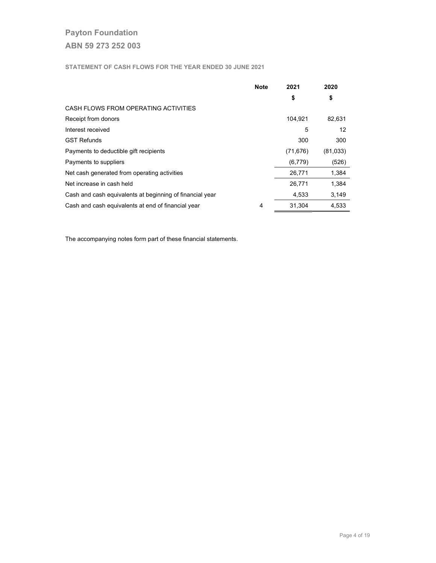### STATEMENT OF CASH FLOWS FOR THE YEAR ENDED 30 JUNE 2021

|                                                          | <b>Note</b> | 2021      | 2020      |
|----------------------------------------------------------|-------------|-----------|-----------|
|                                                          |             | \$        | \$        |
| CASH FLOWS FROM OPERATING ACTIVITIES                     |             |           |           |
| Receipt from donors                                      |             | 104.921   | 82,631    |
| Interest received                                        |             | 5         | 12        |
| <b>GST Refunds</b>                                       |             | 300       | 300       |
| Payments to deductible gift recipients                   |             | (71, 676) | (81, 033) |
| Payments to suppliers                                    |             | (6, 779)  | (526)     |
| Net cash generated from operating activities             |             | 26,771    | 1,384     |
| Net increase in cash held                                |             | 26,771    | 1,384     |
| Cash and cash equivalents at beginning of financial year |             | 4,533     | 3,149     |
| Cash and cash equivalents at end of financial year       | 4           | 31.304    | 4.533     |

The accompanying notes form part of these financial statements.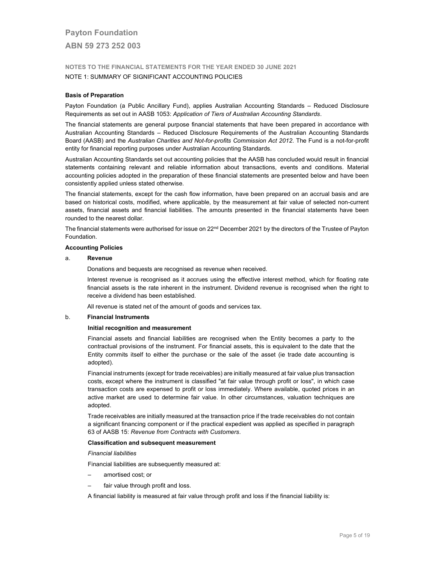NOTES TO THE FINANCIAL STATEMENTS FOR THE YEAR ENDED 30 JUNE 2021 NOTE 1: SUMMARY OF SIGNIFICANT ACCOUNTING POLICIES

### Basis of Preparation

Payton Foundation (a Public Ancillary Fund), applies Australian Accounting Standards – Reduced Disclosure Requirements as set out in AASB 1053: Application of Tiers of Australian Accounting Standards.

The financial statements are general purpose financial statements that have been prepared in accordance with Australian Accounting Standards – Reduced Disclosure Requirements of the Australian Accounting Standards Board (AASB) and the Australian Charities and Not-for-profits Commission Act 2012. The Fund is a not-for-profit entity for financial reporting purposes under Australian Accounting Standards.

Australian Accounting Standards set out accounting policies that the AASB has concluded would result in financial statements containing relevant and reliable information about transactions, events and conditions. Material accounting policies adopted in the preparation of these financial statements are presented below and have been consistently applied unless stated otherwise.

The financial statements, except for the cash flow information, have been prepared on an accrual basis and are based on historical costs, modified, where applicable, by the measurement at fair value of selected non-current assets, financial assets and financial liabilities. The amounts presented in the financial statements have been rounded to the nearest dollar.

The financial statements were authorised for issue on 22<sup>nd</sup> December 2021 by the directors of the Trustee of Payton Foundation.

### Accounting Policies

#### a. Revenue

Donations and bequests are recognised as revenue when received.

Interest revenue is recognised as it accrues using the effective interest method, which for floating rate financial assets is the rate inherent in the instrument. Dividend revenue is recognised when the right to receive a dividend has been established.

All revenue is stated net of the amount of goods and services tax.

### b. Financial Instruments

### Initial recognition and measurement

Financial assets and financial liabilities are recognised when the Entity becomes a party to the contractual provisions of the instrument. For financial assets, this is equivalent to the date that the Entity commits itself to either the purchase or the sale of the asset (ie trade date accounting is adopted).

Financial instruments (except for trade receivables) are initially measured at fair value plus transaction costs, except where the instrument is classified "at fair value through profit or loss", in which case transaction costs are expensed to profit or loss immediately. Where available, quoted prices in an active market are used to determine fair value. In other circumstances, valuation techniques are adopted.

Trade receivables are initially measured at the transaction price if the trade receivables do not contain a significant financing component or if the practical expedient was applied as specified in paragraph 63 of AASB 15: Revenue from Contracts with Customers.

### Classification and subsequent measurement

#### Financial liabilities

Financial liabilities are subsequently measured at:

- amortised cost; or
- fair value through profit and loss.

A financial liability is measured at fair value through profit and loss if the financial liability is: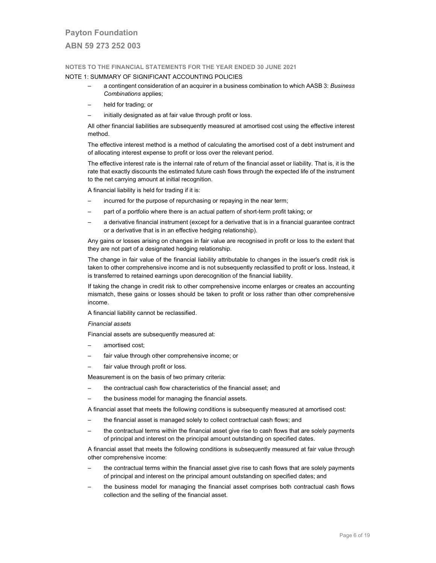### NOTES TO THE FINANCIAL STATEMENTS FOR THE YEAR ENDED 30 JUNE 2021

### NOTE 1: SUMMARY OF SIGNIFICANT ACCOUNTING POLICIES

- a contingent consideration of an acquirer in a business combination to which AASB 3: Business Combinations applies;
- held for trading; or
- initially designated as at fair value through profit or loss.

All other financial liabilities are subsequently measured at amortised cost using the effective interest method.

The effective interest method is a method of calculating the amortised cost of a debt instrument and of allocating interest expense to profit or loss over the relevant period.

The effective interest rate is the internal rate of return of the financial asset or liability. That is, it is the rate that exactly discounts the estimated future cash flows through the expected life of the instrument to the net carrying amount at initial recognition.

A financial liability is held for trading if it is:

- incurred for the purpose of repurchasing or repaying in the near term;
- part of a portfolio where there is an actual pattern of short-term profit taking; or
- a derivative financial instrument (except for a derivative that is in a financial guarantee contract or a derivative that is in an effective hedging relationship).

Any gains or losses arising on changes in fair value are recognised in profit or loss to the extent that they are not part of a designated hedging relationship.

The change in fair value of the financial liability attributable to changes in the issuer's credit risk is taken to other comprehensive income and is not subsequently reclassified to profit or loss. Instead, it is transferred to retained earnings upon derecognition of the financial liability.

If taking the change in credit risk to other comprehensive income enlarges or creates an accounting mismatch, these gains or losses should be taken to profit or loss rather than other comprehensive income.

A financial liability cannot be reclassified.

Financial assets

Financial assets are subsequently measured at:

- amortised cost;
- fair value through other comprehensive income; or
- fair value through profit or loss.

Measurement is on the basis of two primary criteria:

- the contractual cash flow characteristics of the financial asset; and
- the business model for managing the financial assets.

A financial asset that meets the following conditions is subsequently measured at amortised cost:

- the financial asset is managed solely to collect contractual cash flows; and
- the contractual terms within the financial asset give rise to cash flows that are solely payments of principal and interest on the principal amount outstanding on specified dates.

A financial asset that meets the following conditions is subsequently measured at fair value through other comprehensive income:

- the contractual terms within the financial asset give rise to cash flows that are solely payments of principal and interest on the principal amount outstanding on specified dates; and
- the business model for managing the financial asset comprises both contractual cash flows collection and the selling of the financial asset.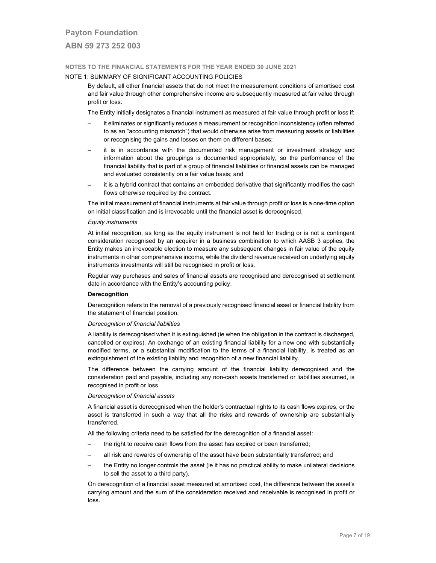### NOTES TO THE FINANCIAL STATEMENTS FOR THE YEAR ENDED 30 JUNE 2021

### NOTE 1: SUMMARY OF SIGNIFICANT ACCOUNTING POLICIES

By default, all other financial assets that do not meet the measurement conditions of amortised cost and fair value through other comprehensive income are subsequently measured at fair value through profit or loss.

The Entity initially designates a financial instrument as measured at fair value through profit or loss if:

- it eliminates or significantly reduces a measurement or recognition inconsistency (often referred to as an "accounting mismatch") that would otherwise arise from measuring assets or liabilities or recognising the gains and losses on them on different bases;
- it is in accordance with the documented risk management or investment strategy and information about the groupings is documented appropriately, so the performance of the financial liability that is part of a group of financial liabilities or financial assets can be managed and evaluated consistently on a fair value basis; and
- it is a hybrid contract that contains an embedded derivative that significantly modifies the cash flows otherwise required by the contract.

The initial measurement of financial instruments at fair value through profit or loss is a one-time option on initial classification and is irrevocable until the financial asset is derecognised.

### Equity instruments

At initial recognition, as long as the equity instrument is not held for trading or is not a contingent consideration recognised by an acquirer in a business combination to which AASB 3 applies, the Entity makes an irrevocable election to measure any subsequent changes in fair value of the equity instruments in other comprehensive income, while the dividend revenue received on underlying equity instruments investments will still be recognised in profit or loss.

Regular way purchases and sales of financial assets are recognised and derecognised at settlement date in accordance with the Entity's accounting policy.

### Derecognition

Derecognition refers to the removal of a previously recognised financial asset or financial liability from the statement of financial position.

### Derecognition of financial liabilities

A liability is derecognised when it is extinguished (ie when the obligation in the contract is discharged, cancelled or expires). An exchange of an existing financial liability for a new one with substantially modified terms, or a substantial modification to the terms of a financial liability, is treated as an extinguishment of the existing liability and recognition of a new financial liability.

The difference between the carrying amount of the financial liability derecognised and the consideration paid and payable, including any non-cash assets transferred or liabilities assumed, is recognised in profit or loss.

### Derecognition of financial assets

A financial asset is derecognised when the holder's contractual rights to its cash flows expires, or the asset is transferred in such a way that all the risks and rewards of ownership are substantially transferred.

All the following criteria need to be satisfied for the derecognition of a financial asset:

- the right to receive cash flows from the asset has expired or been transferred;
- all risk and rewards of ownership of the asset have been substantially transferred; and
- the Entity no longer controls the asset (ie it has no practical ability to make unilateral decisions to sell the asset to a third party).

On derecognition of a financial asset measured at amortised cost, the difference between the asset's carrying amount and the sum of the consideration received and receivable is recognised in profit or loss.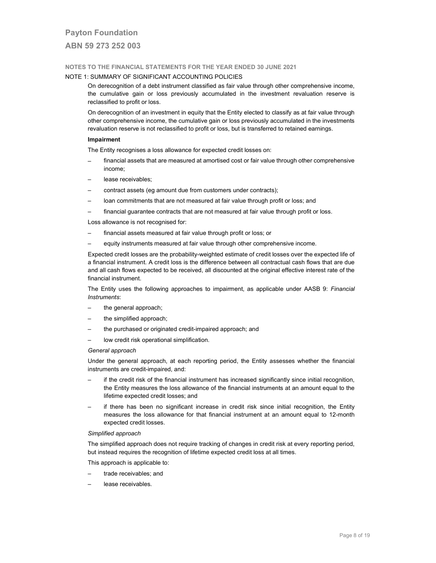### ABN 59 273 252 003

### NOTES TO THE FINANCIAL STATEMENTS FOR THE YEAR ENDED 30 JUNE 2021

### NOTE 1: SUMMARY OF SIGNIFICANT ACCOUNTING POLICIES

On derecognition of a debt instrument classified as fair value through other comprehensive income, the cumulative gain or loss previously accumulated in the investment revaluation reserve is reclassified to profit or loss.

On derecognition of an investment in equity that the Entity elected to classify as at fair value through other comprehensive income, the cumulative gain or loss previously accumulated in the investments revaluation reserve is not reclassified to profit or loss, but is transferred to retained earnings.

### Impairment

The Entity recognises a loss allowance for expected credit losses on:

- financial assets that are measured at amortised cost or fair value through other comprehensive income;
- lease receivables;
- contract assets (eg amount due from customers under contracts);
- loan commitments that are not measured at fair value through profit or loss; and
- financial guarantee contracts that are not measured at fair value through profit or loss.

Loss allowance is not recognised for:

- financial assets measured at fair value through profit or loss; or
- equity instruments measured at fair value through other comprehensive income.

Expected credit losses are the probability-weighted estimate of credit losses over the expected life of a financial instrument. A credit loss is the difference between all contractual cash flows that are due and all cash flows expected to be received, all discounted at the original effective interest rate of the financial instrument.

The Entity uses the following approaches to impairment, as applicable under AASB 9: Financial Instruments:

- the general approach;
- the simplified approach;
- the purchased or originated credit-impaired approach; and
- low credit risk operational simplification.

#### General approach

Under the general approach, at each reporting period, the Entity assesses whether the financial instruments are credit-impaired, and:

- if the credit risk of the financial instrument has increased significantly since initial recognition, the Entity measures the loss allowance of the financial instruments at an amount equal to the lifetime expected credit losses; and
- if there has been no significant increase in credit risk since initial recognition, the Entity measures the loss allowance for that financial instrument at an amount equal to 12-month expected credit losses.

#### Simplified approach

The simplified approach does not require tracking of changes in credit risk at every reporting period, but instead requires the recognition of lifetime expected credit loss at all times.

This approach is applicable to:

- trade receivables; and
- lease receivables.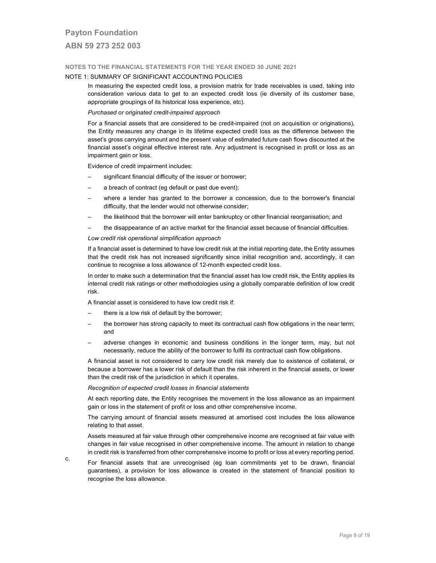### ABN 59 273 252 003

### NOTES TO THE FINANCIAL STATEMENTS FOR THE YEAR ENDED 30 JUNE 2021

### NOTE 1: SUMMARY OF SIGNIFICANT ACCOUNTING POLICIES

In measuring the expected credit loss, a provision matrix for trade receivables is used, taking into consideration various data to get to an expected credit loss (ie diversity of its customer base, appropriate groupings of its historical loss experience, etc).

### Purchased or originated credit-impaired approach

For a financial assets that are considered to be credit-impaired (not on acquisition or originations), the Entity measures any change in its lifetime expected credit loss as the difference between the asset's gross carrying amount and the present value of estimated future cash flows discounted at the financial asset's original effective interest rate. Any adjustment is recognised in profit or loss as an impairment gain or loss.

Evidence of credit impairment includes:

- significant financial difficulty of the issuer or borrower;
- a breach of contract (eg default or past due event);
- where a lender has granted to the borrower a concession, due to the borrower's financial difficulty, that the lender would not otherwise consider;
- the likelihood that the borrower will enter bankruptcy or other financial reorganisation; and
- the disappearance of an active market for the financial asset because of financial difficulties.

### Low credit risk operational simplification approach

If a financial asset is determined to have low credit risk at the initial reporting date, the Entity assumes that the credit risk has not increased significantly since initial recognition and, accordingly, it can continue to recognise a loss allowance of 12-month expected credit loss.

In order to make such a determination that the financial asset has low credit risk, the Entity applies its internal credit risk ratings or other methodologies using a globally comparable definition of low credit risk.

A financial asset is considered to have low credit risk if:

- there is a low risk of default by the borrower;
- the borrower has strong capacity to meet its contractual cash flow obligations in the near term; and
- adverse changes in economic and business conditions in the longer term, may, but not necessarily, reduce the ability of the borrower to fulfil its contractual cash flow obligations.

A financial asset is not considered to carry low credit risk merely due to existence of collateral, or because a borrower has a lower risk of default than the risk inherent in the financial assets, or lower than the credit risk of the jurisdiction in which it operates.

#### Recognition of expected credit losses in financial statements

At each reporting date, the Entity recognises the movement in the loss allowance as an impairment gain or loss in the statement of profit or loss and other comprehensive income.

The carrying amount of financial assets measured at amortised cost includes the loss allowance relating to that asset.

Assets measured at fair value through other comprehensive income are recognised at fair value with changes in fair value recognised in other comprehensive income. The amount in relation to change in credit risk is transferred from other comprehensive income to profit or loss at every reporting period.

c.

For financial assets that are unrecognised (eg loan commitments yet to be drawn, financial guarantees), a provision for loss allowance is created in the statement of financial position to recognise the loss allowance.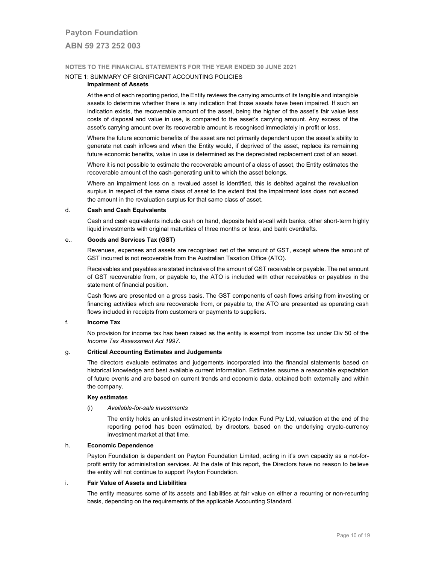### NOTES TO THE FINANCIAL STATEMENTS FOR THE YEAR ENDED 30 JUNE 2021

### NOTE 1: SUMMARY OF SIGNIFICANT ACCOUNTING POLICIES

### Impairment of Assets

At the end of each reporting period, the Entity reviews the carrying amounts of its tangible and intangible assets to determine whether there is any indication that those assets have been impaired. If such an indication exists, the recoverable amount of the asset, being the higher of the asset's fair value less costs of disposal and value in use, is compared to the asset's carrying amount. Any excess of the asset's carrying amount over its recoverable amount is recognised immediately in profit or loss.

Where the future economic benefits of the asset are not primarily dependent upon the asset's ability to generate net cash inflows and when the Entity would, if deprived of the asset, replace its remaining future economic benefits, value in use is determined as the depreciated replacement cost of an asset.

Where it is not possible to estimate the recoverable amount of a class of asset, the Entity estimates the recoverable amount of the cash-generating unit to which the asset belongs.

Where an impairment loss on a revalued asset is identified, this is debited against the revaluation surplus in respect of the same class of asset to the extent that the impairment loss does not exceed the amount in the revaluation surplus for that same class of asset.

### d. Cash and Cash Equivalents

Cash and cash equivalents include cash on hand, deposits held at-call with banks, other short-term highly liquid investments with original maturities of three months or less, and bank overdrafts.

### e.. Goods and Services Tax (GST)

Revenues, expenses and assets are recognised net of the amount of GST, except where the amount of GST incurred is not recoverable from the Australian Taxation Office (ATO).

Receivables and payables are stated inclusive of the amount of GST receivable or payable. The net amount of GST recoverable from, or payable to, the ATO is included with other receivables or payables in the statement of financial position.

 Cash flows are presented on a gross basis. The GST components of cash flows arising from investing or financing activities which are recoverable from, or payable to, the ATO are presented as operating cash flows included in receipts from customers or payments to suppliers.

### f. Income Tax

No provision for income tax has been raised as the entity is exempt from income tax under Div 50 of the Income Tax Assessment Act 1997.

### g. Critical Accounting Estimates and Judgements

 The directors evaluate estimates and judgements incorporated into the financial statements based on historical knowledge and best available current information. Estimates assume a reasonable expectation of future events and are based on current trends and economic data, obtained both externally and within the company.

### Key estimates

### (i) Available-for-sale investments

 The entity holds an unlisted investment in iCrypto Index Fund Pty Ltd, valuation at the end of the reporting period has been estimated, by directors, based on the underlying crypto-currency investment market at that time.

### h. Economic Dependence

 Payton Foundation is dependent on Payton Foundation Limited, acting in it's own capacity as a not-forprofit entity for administration services. At the date of this report, the Directors have no reason to believe the entity will not continue to support Payton Foundation.

### i. Fair Value of Assets and Liabilities

The entity measures some of its assets and liabilities at fair value on either a recurring or non-recurring basis, depending on the requirements of the applicable Accounting Standard.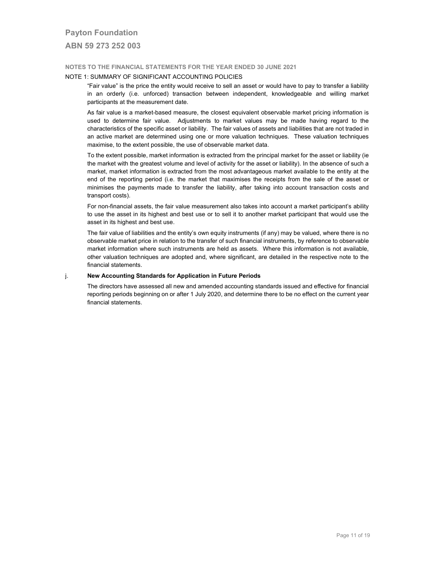### NOTES TO THE FINANCIAL STATEMENTS FOR THE YEAR ENDED 30 JUNE 2021

### NOTE 1: SUMMARY OF SIGNIFICANT ACCOUNTING POLICIES

 "Fair value" is the price the entity would receive to sell an asset or would have to pay to transfer a liability in an orderly (i.e. unforced) transaction between independent, knowledgeable and willing market participants at the measurement date.

As fair value is a market-based measure, the closest equivalent observable market pricing information is used to determine fair value. Adjustments to market values may be made having regard to the characteristics of the specific asset or liability. The fair values of assets and liabilities that are not traded in an active market are determined using one or more valuation techniques. These valuation techniques maximise, to the extent possible, the use of observable market data.

 To the extent possible, market information is extracted from the principal market for the asset or liability (ie the market with the greatest volume and level of activity for the asset or liability). In the absence of such a market, market information is extracted from the most advantageous market available to the entity at the end of the reporting period (i.e. the market that maximises the receipts from the sale of the asset or minimises the payments made to transfer the liability, after taking into account transaction costs and transport costs).

 For non-financial assets, the fair value measurement also takes into account a market participant's ability to use the asset in its highest and best use or to sell it to another market participant that would use the asset in its highest and best use.

The fair value of liabilities and the entity's own equity instruments (if any) may be valued, where there is no observable market price in relation to the transfer of such financial instruments, by reference to observable market information where such instruments are held as assets. Where this information is not available, other valuation techniques are adopted and, where significant, are detailed in the respective note to the financial statements.

### j. New Accounting Standards for Application in Future Periods

 The directors have assessed all new and amended accounting standards issued and effective for financial reporting periods beginning on or after 1 July 2020, and determine there to be no effect on the current year financial statements.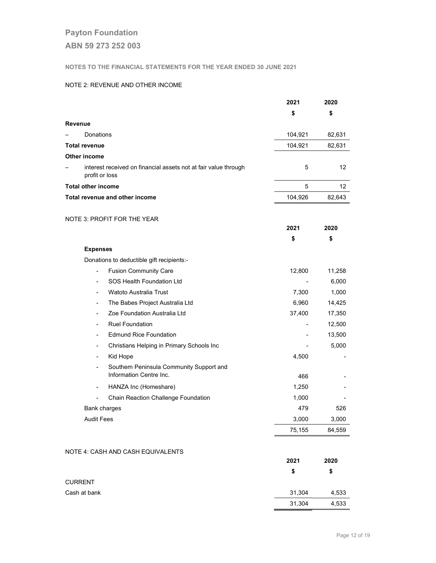### ABN 59 273 252 003

### NOTES TO THE FINANCIAL STATEMENTS FOR THE YEAR ENDED 30 JUNE 2021

### NOTE 2: REVENUE AND OTHER INCOME

|                           |                                                                                   | 2021    | 2020            |
|---------------------------|-----------------------------------------------------------------------------------|---------|-----------------|
|                           |                                                                                   | \$      | \$              |
| <b>Revenue</b>            |                                                                                   |         |                 |
|                           | Donations                                                                         | 104,921 | 82,631          |
| <b>Total revenue</b>      |                                                                                   | 104,921 | 82,631          |
| Other income              |                                                                                   |         |                 |
|                           | interest received on financial assets not at fair value through<br>profit or loss | 5       | 12              |
| <b>Total other income</b> |                                                                                   | 5       | 12 <sup>2</sup> |
|                           | Total revenue and other income                                                    | 104,926 | 82,643          |
|                           |                                                                                   |         |                 |
|                           | NOTE 3: PROFIT FOR THE YEAR                                                       |         |                 |
|                           |                                                                                   | 2021    | 2020            |
|                           |                                                                                   | \$      | \$              |
|                           | <b>Expenses</b>                                                                   |         |                 |
|                           | Donations to deductible gift recipients:-                                         |         |                 |
|                           | <b>Fusion Community Care</b>                                                      | 12,800  | 11,258          |
|                           | SOS Health Foundation Ltd<br>$\blacksquare$                                       |         | 6,000           |
|                           | Watoto Australia Trust<br>$\sim$                                                  | 7,300   | 1,000           |
|                           | The Babes Project Australia Ltd<br>$\blacksquare$                                 | 6,960   | 14,425          |
|                           | Zoe Foundation Australia Ltd                                                      | 37,400  | 17,350          |
|                           | <b>Ruel Foundation</b>                                                            |         | 12,500          |
|                           | <b>Edmund Rice Foundation</b>                                                     |         | 13,500          |
|                           | Christians Helping in Primary Schools Inc<br>$\overline{\phantom{0}}$             |         | 5,000           |
|                           | Kid Hope<br>$\blacksquare$                                                        | 4,500   |                 |
|                           | Southern Peninsula Community Support and<br>$\qquad \qquad \blacksquare$          |         |                 |
|                           | Information Centre Inc.                                                           | 466     |                 |
|                           | HANZA Inc (Homeshare)<br>$\overline{\phantom{a}}$                                 | 1,250   |                 |
|                           | Chain Reaction Challenge Foundation<br>$\blacksquare$                             | 1,000   |                 |
|                           | Bank charges                                                                      | 479     | 526             |
|                           | <b>Audit Fees</b>                                                                 | 3,000   | 3,000           |
|                           |                                                                                   | 75,155  | 84,559          |
|                           |                                                                                   |         |                 |

### NOTE 4: CASH AND CASH EQUIVALENTS

|                | 2021   | 2020  |
|----------------|--------|-------|
|                | S      | \$    |
| <b>CURRENT</b> |        |       |
| Cash at bank   | 31,304 | 4,533 |
|                | 31,304 | 4,533 |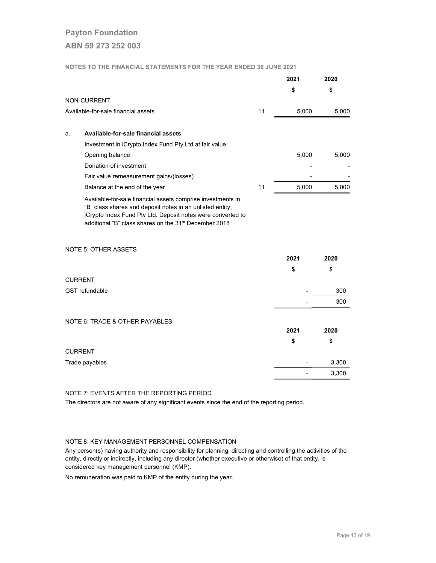### NOTES TO THE FINANCIAL STATEMENTS FOR THE YEAR ENDED 30 JUNE 2021

|                                                                                                                                                                                               |    | 2021  | 2020  |
|-----------------------------------------------------------------------------------------------------------------------------------------------------------------------------------------------|----|-------|-------|
|                                                                                                                                                                                               |    | \$    | \$    |
| <b>NON-CURRENT</b>                                                                                                                                                                            |    |       |       |
| Available-for-sale financial assets                                                                                                                                                           | 11 | 5,000 | 5,000 |
| Available-for-sale financial assets                                                                                                                                                           |    |       |       |
| a.<br>Investment in iCrypto Index Fund Pty Ltd at fair value:                                                                                                                                 |    |       |       |
| Opening balance                                                                                                                                                                               |    | 5,000 | 5,000 |
| Donation of investment                                                                                                                                                                        |    |       |       |
| Fair value remeasurement gains/(losses)                                                                                                                                                       |    |       |       |
| Balance at the end of the year                                                                                                                                                                | 11 | 5,000 | 5,000 |
| Available-for-sale financial assets comprise investments in                                                                                                                                   |    |       |       |
| "B" class shares and deposit notes in an unlisted entity,<br>iCrypto Index Fund Pty Ltd. Deposit notes were converted to<br>additional "B" class shares on the 31 <sup>st</sup> December 2018 |    |       |       |
| <b>NOTE 5: OTHER ASSETS</b>                                                                                                                                                                   |    |       |       |
|                                                                                                                                                                                               |    | 2021  | 2020  |
|                                                                                                                                                                                               |    | \$    | \$    |
| <b>CURRENT</b>                                                                                                                                                                                |    |       |       |
| <b>GST</b> refundable                                                                                                                                                                         |    |       | 300   |
|                                                                                                                                                                                               |    |       | 300   |
| NOTE 6: TRADE & OTHER PAYABLES                                                                                                                                                                |    |       |       |
|                                                                                                                                                                                               |    | 2021  | 2020  |
|                                                                                                                                                                                               |    | \$    | \$    |
| <b>CURRENT</b>                                                                                                                                                                                |    |       |       |
| Trade payables                                                                                                                                                                                |    |       | 3,300 |
|                                                                                                                                                                                               |    |       | 3,300 |

### NOTE 7: EVENTS AFTER THE REPORTING PERIOD

The directors are not aware of any significant events since the end of the reporting period.

### NOTE 8: KEY MANAGEMENT PERSONNEL COMPENSATION

Any person(s) having authority and responsibility for planning, directing and controlling the activities of the entity, directly or indirectly, including any director (whether executive or otherwise) of that entity, is considered key management personnel (KMP).

No remuneration was paid to KMP of the entity during the year.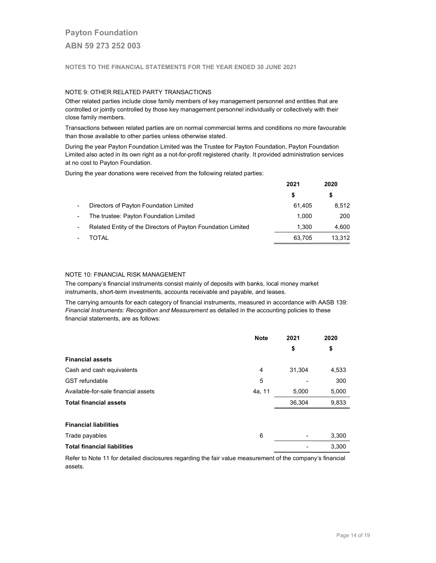### NOTES TO THE FINANCIAL STATEMENTS FOR THE YEAR ENDED 30 JUNE 2021

### NOTE 9: OTHER RELATED PARTY TRANSACTIONS

Other related parties include close family members of key management personnel and entities that are controlled or jointly controlled by those key management personnel individually or collectively with their close family members.

Transactions between related parties are on normal commercial terms and conditions no more favourable than those available to other parties unless otherwise stated.

During the year Payton Foundation Limited was the Trustee for Payton Foundation, Payton Foundation Limited also acted in its own right as a not-for-profit registered charity. It provided administration services at no cost to Payton Foundation.

During the year donations were received from the following related parties:

|                          |                                                              | 2021   | 2020   |  |
|--------------------------|--------------------------------------------------------------|--------|--------|--|
|                          |                                                              | 5      | S      |  |
| $\overline{\phantom{0}}$ | Directors of Payton Foundation Limited                       | 61.405 | 8.512  |  |
| $\overline{\phantom{0}}$ | The trustee: Payton Foundation Limited                       | 1.000  | 200    |  |
| $\overline{\phantom{0}}$ | Related Entity of the Directors of Payton Foundation Limited | 1.300  | 4,600  |  |
|                          | TOTAL                                                        | 63.705 | 13,312 |  |

### NOTE 10: FINANCIAL RISK MANAGEMENT

The company's financial instruments consist mainly of deposits with banks, local money market instruments, short-term investments, accounts receivable and payable, and leases.

The carrying amounts for each category of financial instruments, measured in accordance with AASB 139: Financial Instruments: Recognition and Measurement as detailed in the accounting policies to these financial statements, are as follows:

|                                     | <b>Note</b> | 2021   | 2020  |
|-------------------------------------|-------------|--------|-------|
|                                     |             | \$     | \$    |
| <b>Financial assets</b>             |             |        |       |
| Cash and cash equivalents           | 4           | 31,304 | 4,533 |
| <b>GST</b> refundable               | 5           |        | 300   |
| Available-for-sale financial assets | 4a, 11      | 5,000  | 5,000 |
| <b>Total financial assets</b>       |             | 36,304 | 9,833 |
| <b>Financial liabilities</b>        |             |        |       |
| Trade payables                      | 6           |        | 3,300 |
| <b>Total financial liabilities</b>  |             |        | 3,300 |

Refer to Note 11 for detailed disclosures regarding the fair value measurement of the company's financial assets.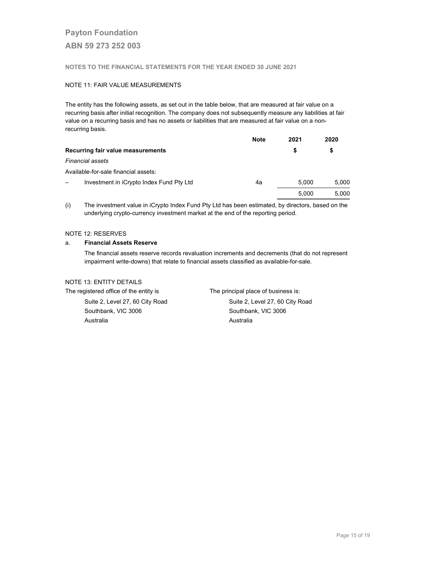### NOTES TO THE FINANCIAL STATEMENTS FOR THE YEAR ENDED 30 JUNE 2021

### NOTE 11: FAIR VALUE MEASUREMENTS

The entity has the following assets, as set out in the table below, that are measured at fair value on a recurring basis after initial recognition. The company does not subsequently measure any liabilities at fair value on a recurring basis and has no assets or liabilities that are measured at fair value on a nonrecurring basis.

|                                          | <b>Note</b> | 2021  | 2020  |
|------------------------------------------|-------------|-------|-------|
| Recurring fair value measurements        |             | S     | S     |
| Financial assets                         |             |       |       |
| Available-for-sale financial assets:     |             |       |       |
| Investment in iCrypto Index Fund Pty Ltd | 4a          | 5.000 | 5,000 |
|                                          |             | 5.000 | 5.000 |

(i) The investment value in iCrypto Index Fund Pty Ltd has been estimated, by directors, based on the underlying crypto-currency investment market at the end of the reporting period.

### NOTE 12: RESERVES

### a. Financial Assets Reserve

The financial assets reserve records revaluation increments and decrements (that do not represent impairment write-downs) that relate to financial assets classified as available-for-sale.

### NOTE 13: ENTITY DETAILS

Suite 2, Level 27, 60 City Road Suite 2, Level 27, 60 City Road Southbank, VIC 3006 Southbank, VIC 3006 Australia Australia

The registered office of the entity is The principal place of business is: